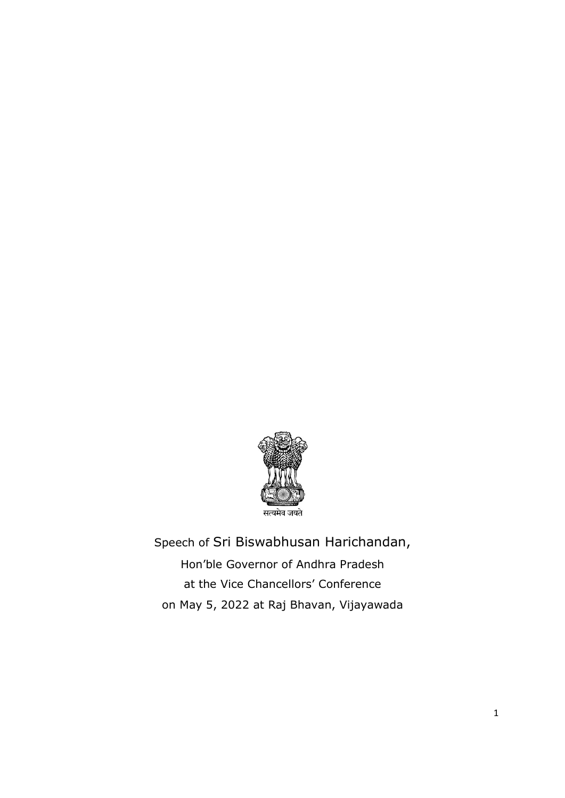

Speech of Sri Biswabhusan Harichandan, Hon'ble Governor of Andhra Pradesh at the Vice Chancellors' Conference on May 5, 2022 at Raj Bhavan, Vijayawada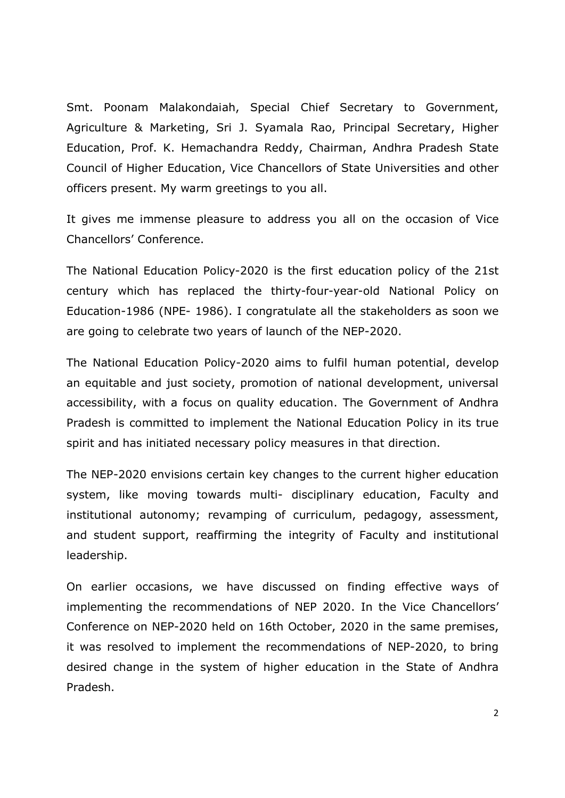Smt. Poonam Malakondaiah, Special Chief Secretary to Government, Agriculture & Marketing, Sri J. Syamala Rao, Principal Secretary, Higher Education, Prof. K. Hemachandra Reddy, Chairman, Andhra Pradesh State Council of Higher Education, Vice Chancellors of State Universities and other officers present. My warm greetings to you all.

It gives me immense pleasure to address you all on the occasion of Vice Chancellors' Conference.

The National Education Policy-2020 is the first education policy of the 21st century which has replaced the thirty-four-year-old National Policy on Education-1986 (NPE- 1986). I congratulate all the stakeholders as soon we are going to celebrate two years of launch of the NEP-2020.

The National Education Policy-2020 aims to fulfil human potential, develop an equitable and just society, promotion of national development, universal accessibility, with a focus on quality education. The Government of Andhra Pradesh is committed to implement the National Education Policy in its true spirit and has initiated necessary policy measures in that direction.

The NEP-2020 envisions certain key changes to the current higher education system, like moving towards multi- disciplinary education, Faculty and institutional autonomy; revamping of curriculum, pedagogy, assessment, and student support, reaffirming the integrity of Faculty and institutional leadership.

On earlier occasions, we have discussed on finding effective ways of implementing the recommendations of NEP 2020. In the Vice Chancellors' Conference on NEP-2020 held on 16th October, 2020 in the same premises, it was resolved to implement the recommendations of NEP-2020, to bring desired change in the system of higher education in the State of Andhra Pradesh.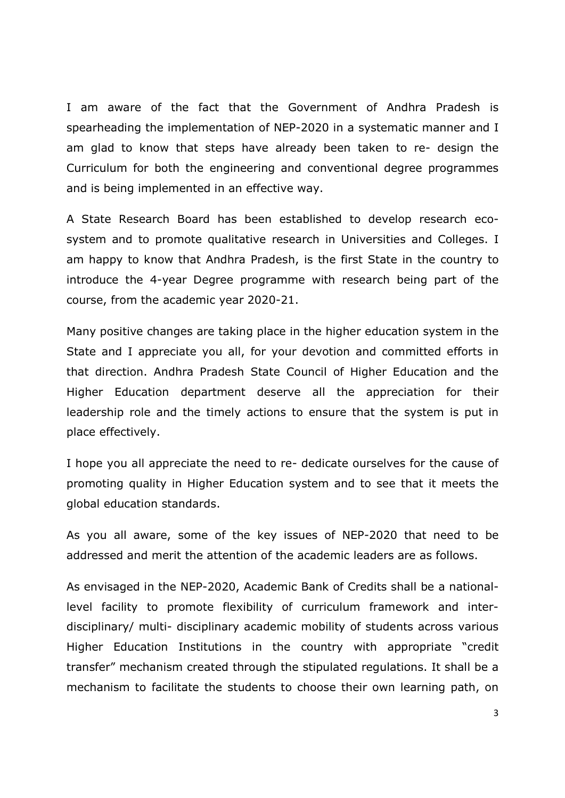I am aware of the fact that the Government of Andhra Pradesh is spearheading the implementation of NEP-2020 in a systematic manner and I am glad to know that steps have already been taken to re- design the Curriculum for both the engineering and conventional degree programmes and is being implemented in an effective way.

A State Research Board has been established to develop research ecosystem and to promote qualitative research in Universities and Colleges. I am happy to know that Andhra Pradesh, is the first State in the country to introduce the 4-year Degree programme with research being part of the course, from the academic year 2020-21.

Many positive changes are taking place in the higher education system in the State and I appreciate you all, for your devotion and committed efforts in that direction. Andhra Pradesh State Council of Higher Education and the Higher Education department deserve all the appreciation for their leadership role and the timely actions to ensure that the system is put in place effectively.

I hope you all appreciate the need to re- dedicate ourselves for the cause of promoting quality in Higher Education system and to see that it meets the global education standards.

As you all aware, some of the key issues of NEP-2020 that need to be addressed and merit the attention of the academic leaders are as follows.

As envisaged in the NEP-2020, Academic Bank of Credits shall be a nationallevel facility to promote flexibility of curriculum framework and interdisciplinary/ multi- disciplinary academic mobility of students across various Higher Education Institutions in the country with appropriate "credit transfer" mechanism created through the stipulated regulations. It shall be a mechanism to facilitate the students to choose their own learning path, on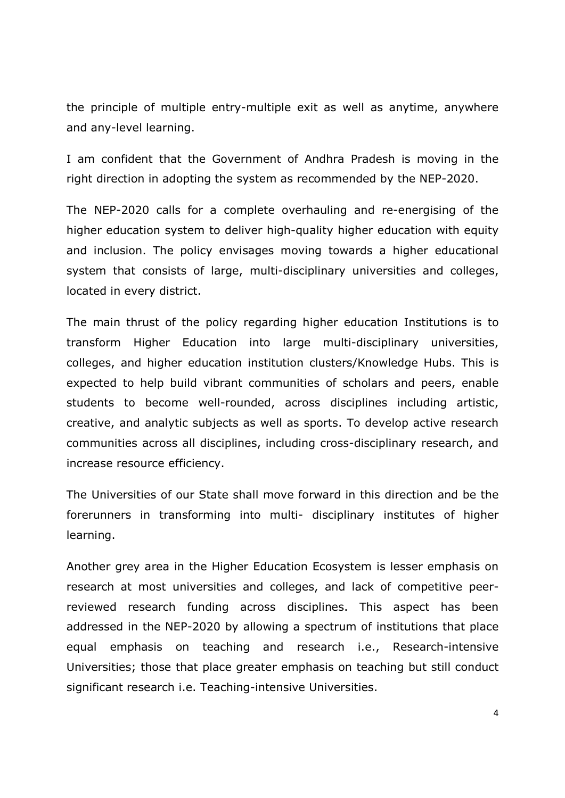the principle of multiple entry-multiple exit as well as anytime, anywhere and any-level learning.

I am confident that the Government of Andhra Pradesh is moving in the right direction in adopting the system as recommended by the NEP-2020.

The NEP-2020 calls for a complete overhauling and re-energising of the higher education system to deliver high-quality higher education with equity and inclusion. The policy envisages moving towards a higher educational system that consists of large, multi-disciplinary universities and colleges, located in every district.

The main thrust of the policy regarding higher education Institutions is to transform Higher Education into large multi-disciplinary universities, colleges, and higher education institution clusters/Knowledge Hubs. This is expected to help build vibrant communities of scholars and peers, enable students to become well-rounded, across disciplines including artistic, creative, and analytic subjects as well as sports. To develop active research communities across all disciplines, including cross-disciplinary research, and increase resource efficiency.

The Universities of our State shall move forward in this direction and be the forerunners in transforming into multi- disciplinary institutes of higher learning.

Another grey area in the Higher Education Ecosystem is lesser emphasis on research at most universities and colleges, and lack of competitive peerreviewed research funding across disciplines. This aspect has been addressed in the NEP-2020 by allowing a spectrum of institutions that place equal emphasis on teaching and research i.e., Research-intensive Universities; those that place greater emphasis on teaching but still conduct significant research i.e. Teaching-intensive Universities.